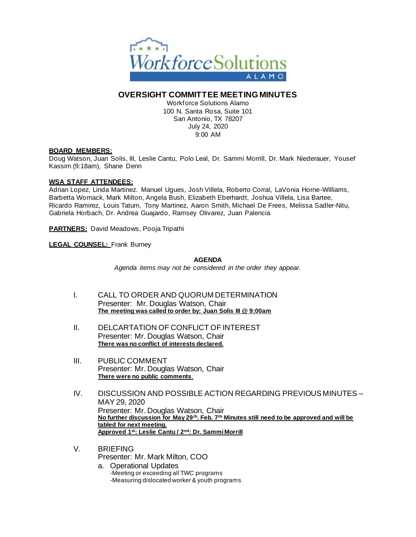

# **OVERSIGHT COMMITTEE MEETING MINUTES**

Workforce Solutions Alamo 100 N. Santa Rosa, Suite 101 San Antonio, TX 78207 July 24, 2020 9:00 AM

#### **BOARD MEMBERS:**

Doug Watson, Juan Solis, III, Leslie Cantu, Polo Leal, Dr. Sammi Morrill, Dr. Mark Niederauer, Yousef Kassim (9:18am), Shane Denn

#### **WSA STAFF ATTENDEES:**

Adrian Lopez, Linda Martinez. Manuel Ugues, Josh Villela, Roberto Corral, LaVonia Horne-Williams, Barbetta Womack, Mark Milton, Angela Bush, Elizabeth Eberhardt, Joshua Villela, Lisa Bartee, Ricardo Ramirez, Louis Tatum, Tony Martinez, Aaron Smith, Michael De Frees, Melissa Sadler-Nitu, Gabriela Horbach, Dr. Andrea Guajardo, Ramsey Olivarez, Juan Palencia

**PARTNERS:** David Meadows, Pooja Tripathi

**LEGAL COUNSEL:** Frank Burney

#### **AGENDA**

*Agenda items may not be considered in the order they appear.*

- I. CALL TO ORDER AND QUORUM DETERMINATION Presenter: Mr. Douglas Watson, Chair **The meeting was called to order by: Juan Solis III @ 9:00am**
- II. DELCARTATION OF CONFLICT OF INTEREST Presenter: Mr. Douglas Watson, Chair **There was no conflict of interests declared.**
- III. PUBLIC COMMENT Presenter: Mr. Douglas Watson, Chair **There were no public comments**.
- IV. DISCUSSION AND POSSIBLE ACTION REGARDING PREVIOUS MINUTES MAY 29, 2020 Presenter: Mr. Douglas Watson, Chair **No further discussion for May 29th. Feb. 7th Minutes still need to be approved and will be tabled for next meeting. Approved 1st: Leslie Cantu / 2nd: Dr. Sammi Morrill**
- V. BRIEFING Presenter: Mr. Mark Milton, COO
	- a. Operational Updates -Meeting or exceeding all TWC programs -Measuring dislocated worker & youth programs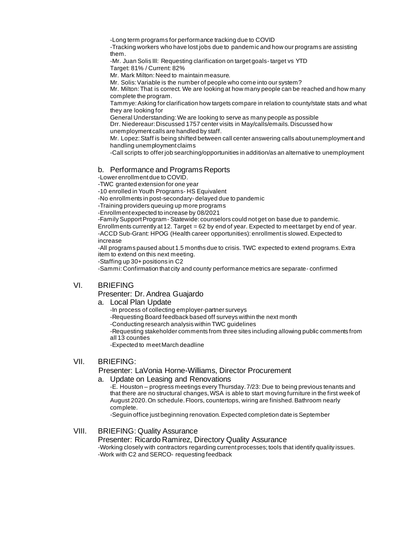-Long term programs for performance tracking due to COVID

-Tracking workers who have lost jobs due to pandemic and how our programs are assisting them.

-Mr. Juan Solis III: Requesting clarification on target goals- target vs YTD Target: 81% / Current: 82%

Mr. Mark Milton: Need to maintain measure.

Mr. Solis: Variable is the number of people who come into our system?

Mr. Milton: That is correct. We are looking at how many people can be reached and how many complete the program.

Tammye: Asking for clarification how targets compare in relation to county/state stats and what they are looking for

General Understanding: We are looking to serve as many people as possible

Drr. Niedereaur: Discussed 1757 center visits in May/calls/emails. Discussed how unemployment calls are handled by staff.

Mr. Lopez: Staff is being shifted between call center answering calls about unemployment and handling unemployment claims

-Call scripts to offer job searching/opportunities in addition/as an alternative to unemployment

## b. Performance and Programs Reports

-Lower enrollment due to COVID.

-TWC granted extension for one year

-10 enrolled in Youth Programs- HS Equivalent

-No enrollments in post-secondary- delayed due to pandemic

-Training providers queuing up more programs

-Enrollment expected to increase by 08/2021

-Family Support Program- Statewide: counselors could not get on base due to pandemic.

Enrollments currently at 12. Target = 62 by end of year. Expected to meet target by end of year. -ACCD Sub-Grant: HPOG (Health career opportunities): enrollment is slowed. Expected to increase

-All programs paused about 1.5 months due to crisis. TWC expected to extend programs. Extra item to extend on this next meeting.

-Staffing up 30+ positions in C2

-Sammi: Confirmation that city and county performance metrics are separate- confirmed

## VI. BRIEFING

## Presenter: Dr. Andrea Guajardo

#### a. Local Plan Update

-In process of collecting employer-partner surveys

-Requesting Board feedback based off surveys within the next month

-Conducting research analysis within TWC guidelines

-Requesting stakeholder comments from three sites including allowing public comments from all 13 counties

-Expected to meet March deadline

### VII. BRIEFING:

Presenter: LaVonia Horne-Williams, Director Procurement

a. Update on Leasing and Renovations

-E. Houston – progress meetings every Thursday. 7/23: Due to being previous tenants and that there are no structural changes, WSA is able to start moving furniture in the first week of August 2020. On schedule. Floors, countertops, wiring are finished. Bathroom nearly complete.

-Seguin office just beginning renovation. Expected completion date is September

## VIII. BRIEFING: Quality Assurance

Presenter: Ricardo Ramirez, Directory Quality Assurance -Working closely with contractors regarding current processes; tools that identify quality issues. -Work with C2 and SERCO- requesting feedback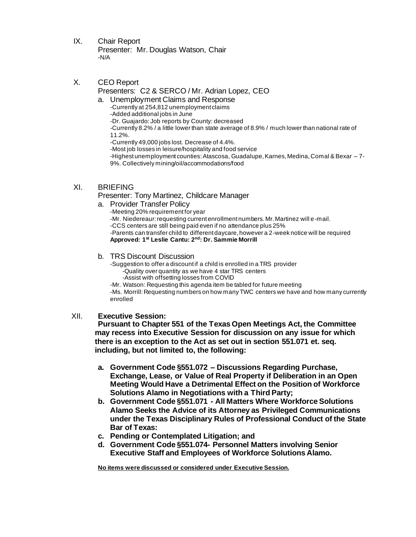- IX. Chair Report Presenter: Mr. Douglas Watson, Chair -N/A
- X. CEO Report Presenters: C2 & SERCO / Mr. Adrian Lopez, CEO
	- a. Unemployment Claims and Response -Currently at 254,812 unemployment claims -Added additional jobs in June -Dr. Guajardo: Job reports by County: decreased -Currently 8.2% / a little lower than state average of 8.9% / much lower than national rate of 11.2%. -Currently 49,000 jobs lost. Decrease of 4.4%. -Most job losses in leisure/hospitality and food service
		- -Highest unemployment counties: Atascosa, Guadalupe, Karnes, Medina, Comal & Bexar 7- 9%. Collectively mining/oil/accommodations/food

# XI. BRIEFING

Presenter: Tony Martinez, Childcare Manager

a. Provider Transfer Policy

-Meeting 20% requirement for year -Mr. Niedereaur: requesting current enrollment numbers. Mr. Martinez will e-mail. -CCS centers are still being paid even if no attendance plus 25% -Parents can transfer child to different daycare, however a 2-week notice will be required **Approved: 1 st Leslie Cantu: 2 nd: Dr. Sammie Morrill**

## b. TRS Discount Discussion

-Suggestion to offer a discount if a child is enrolled in a TRS provider -Quality over quantity as we have 4 star TRS centers -Assist with offsetting losses from COVID

-Mr. Watson: Requesting this agenda item be tabled for future meeting -Ms. Morrill: Requesting numbers on how many TWC centers we have and how many currently enrolled

## XII. **Executive Session:**

**Pursuant to Chapter 551 of the Texas Open Meetings Act, the Committee may recess into Executive Session for discussion on any issue for which there is an exception to the Act as set out in section 551.071 et. seq. including, but not limited to, the following:** 

- **a. Government Code §551.072 – Discussions Regarding Purchase, Exchange, Lease, or Value of Real Property if Deliberation in an Open Meeting Would Have a Detrimental Effect on the Position of Workforce Solutions Alamo in Negotiations with a Third Party;**
- **b. Government Code §551.071 - All Matters Where Workforce Solutions Alamo Seeks the Advice of its Attorney as Privileged Communications under the Texas Disciplinary Rules of Professional Conduct of the State Bar of Texas:**
- **c. Pending or Contemplated Litigation; and**
- **d. Government Code §551.074- Personnel Matters involving Senior Executive Staff and Employees of Workforce Solutions Alamo.**

**No items were discussed or considered under Executive Session.**